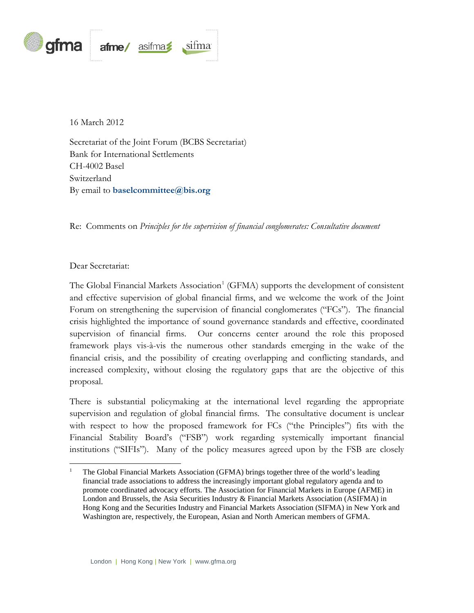

16 March 2012

Secretariat of the Joint Forum (BCBS Secretariat) Bank for International Settlements CH-4002 Basel Switzerland By email to **[baselcommittee@bis.org](mailto:baselcommittee@bis.org)**

Re: Comments on *Principles for the supervision of financial conglomerates: Consultative document*

## Dear Secretariat:

The Global Financial Markets Association<sup>[1](#page-0-0)</sup> (GFMA) supports the development of consistent and effective supervision of global financial firms, and we welcome the work of the Joint Forum on strengthening the supervision of financial conglomerates ("FCs"). The financial crisis highlighted the importance of sound governance standards and effective, coordinated supervision of financial firms. Our concerns center around the role this proposed framework plays vis-à-vis the numerous other standards emerging in the wake of the financial crisis, and the possibility of creating overlapping and conflicting standards, and increased complexity, without closing the regulatory gaps that are the objective of this proposal.

There is substantial policymaking at the international level regarding the appropriate supervision and regulation of global financial firms. The consultative document is unclear with respect to how the proposed framework for FCs ("the Principles") fits with the Financial Stability Board's ("FSB") work regarding systemically important financial institutions ("SIFIs"). Many of the policy measures agreed upon by the FSB are closely

<span id="page-0-0"></span><sup>1</sup> The Global Financial Markets Association (GFMA) brings together three of the world's leading financial trade associations to address the increasingly important global regulatory agenda and to promote coordinated advocacy efforts. The Association for Financial Markets in Europe (AFME) in London and Brussels, the Asia Securities Industry & Financial Markets Association (ASIFMA) in Hong Kong and the Securities Industry and Financial Markets Association (SIFMA) in New York and Washington are, respectively, the European, Asian and North American members of GFMA.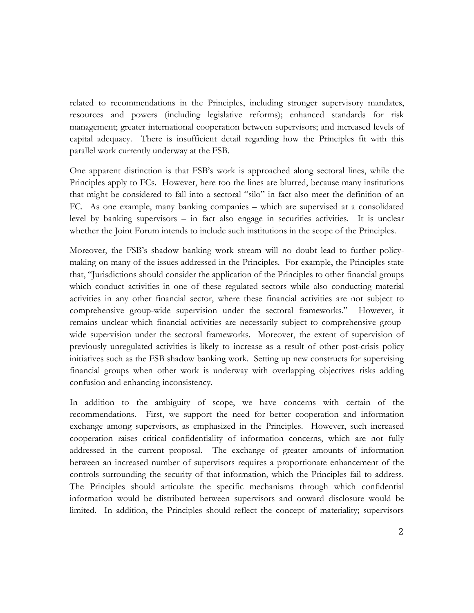related to recommendations in the Principles, including stronger supervisory mandates, resources and powers (including legislative reforms); enhanced standards for risk management; greater international cooperation between supervisors; and increased levels of capital adequacy. There is insufficient detail regarding how the Principles fit with this parallel work currently underway at the FSB.

One apparent distinction is that FSB's work is approached along sectoral lines, while the Principles apply to FCs. However, here too the lines are blurred, because many institutions that might be considered to fall into a sectoral "silo" in fact also meet the definition of an FC. As one example, many banking companies – which are supervised at a consolidated level by banking supervisors – in fact also engage in securities activities. It is unclear whether the Joint Forum intends to include such institutions in the scope of the Principles.

Moreover, the FSB's shadow banking work stream will no doubt lead to further policymaking on many of the issues addressed in the Principles. For example, the Principles state that, "Jurisdictions should consider the application of the Principles to other financial groups which conduct activities in one of these regulated sectors while also conducting material activities in any other financial sector, where these financial activities are not subject to comprehensive group-wide supervision under the sectoral frameworks." However, it remains unclear which financial activities are necessarily subject to comprehensive groupwide supervision under the sectoral frameworks. Moreover, the extent of supervision of previously unregulated activities is likely to increase as a result of other post-crisis policy initiatives such as the FSB shadow banking work. Setting up new constructs for supervising financial groups when other work is underway with overlapping objectives risks adding confusion and enhancing inconsistency.

In addition to the ambiguity of scope, we have concerns with certain of the recommendations. First, we support the need for better cooperation and information exchange among supervisors, as emphasized in the Principles. However, such increased cooperation raises critical confidentiality of information concerns, which are not fully addressed in the current proposal. The exchange of greater amounts of information between an increased number of supervisors requires a proportionate enhancement of the controls surrounding the security of that information, which the Principles fail to address. The Principles should articulate the specific mechanisms through which confidential information would be distributed between supervisors and onward disclosure would be limited. In addition, the Principles should reflect the concept of materiality; supervisors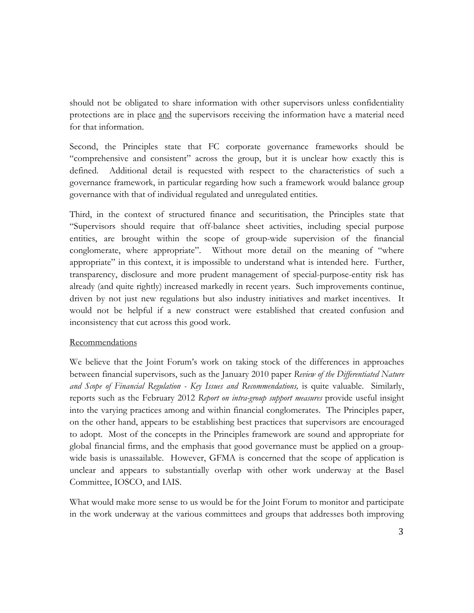should not be obligated to share information with other supervisors unless confidentiality protections are in place and the supervisors receiving the information have a material need for that information.

Second, the Principles state that FC corporate governance frameworks should be "comprehensive and consistent" across the group, but it is unclear how exactly this is defined. Additional detail is requested with respect to the characteristics of such a governance framework, in particular regarding how such a framework would balance group governance with that of individual regulated and unregulated entities.

Third, in the context of structured finance and securitisation, the Principles state that "Supervisors should require that off-balance sheet activities, including special purpose entities, are brought within the scope of group-wide supervision of the financial conglomerate, where appropriate". Without more detail on the meaning of "where appropriate" in this context, it is impossible to understand what is intended here. Further, transparency, disclosure and more prudent management of special-purpose-entity risk has already (and quite rightly) increased markedly in recent years. Such improvements continue, driven by not just new regulations but also industry initiatives and market incentives. It would not be helpful if a new construct were established that created confusion and inconsistency that cut across this good work.

## **Recommendations**

We believe that the Joint Forum's work on taking stock of the differences in approaches between financial supervisors, such as the January 2010 paper *Review of the Differentiated Nature and Scope of Financial Regulation - Key Issues and Recommendations,* is quite valuable. Similarly, reports such as the February 2012 *Report on intra-group support measures* provide useful insight into the varying practices among and within financial conglomerates. The Principles paper, on the other hand, appears to be establishing best practices that supervisors are encouraged to adopt. Most of the concepts in the Principles framework are sound and appropriate for global financial firms, and the emphasis that good governance must be applied on a groupwide basis is unassailable. However, GFMA is concerned that the scope of application is unclear and appears to substantially overlap with other work underway at the Basel Committee, IOSCO, and IAIS.

What would make more sense to us would be for the Joint Forum to monitor and participate in the work underway at the various committees and groups that addresses both improving